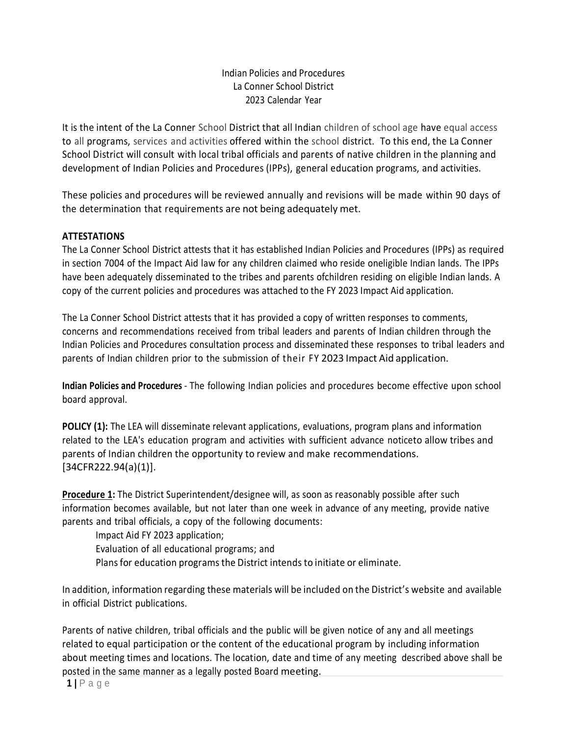## Indian Policies and Procedures La Conner School District 2023 Calendar Year

It is the intent of the La Conner School District that all Indian children of school age have equal access to all programs, services and activities offered within the school district. To this end, the La Conner School District will consult with local tribal officials and parents of native children in the planning and development of Indian Policies and Procedures (IPPs), general education programs, and activities.

These policies and procedures will be reviewed annually and revisions will be made within 90 days of the determination that requirements are not being adequately met.

### **ATTESTATIONS**

The La Conner School District attests that it has established Indian Policies and Procedures (IPPs) as required in section 7004 of the Impact Aid law for any children claimed who reside oneligible Indian lands. The IPPs have been adequately disseminated to the tribes and parents ofchildren residing on eligible Indian lands. A copy of the current policies and procedures was attached to the FY 2023 Impact Aid application.

The La Conner School District attests that it has provided a copy of written responses to comments, concerns and recommendations received from tribal leaders and parents of Indian children through the Indian Policies and Procedures consultation process and disseminated these responses to tribal leaders and parents of Indian children prior to the submission of their FY 2023 Impact Aid application.

**Indian Policies and Procedures** - The following Indian policies and procedures become effective upon school board approval.

**POLICY (1):** The LEA will disseminate relevant applications, evaluations, program plans and information related to the LEA's education program and activities with sufficient advance noticeto allow tribes and parents of Indian children the opportunity to review and make recommendations. [34CFR222.94(a)(1)].

Procedure 1: The District Superintendent/designee will, as soon as reasonably possible after such information becomes available, but not later than one week in advance of any meeting, provide native parents and tribal officials, a copy of the following documents:

Impact Aid FY 2023 application; Evaluation of all educational programs; and Plans for education programs the District intends to initiate or eliminate.

In addition, information regarding these materials will be included on the District's website and available in official District publications.

Parents of native children, tribal officials and the public will be given notice of any and all meetings related to equal participation or the content of the educational program by including information about meeting times and locations. The location, date and time of any meeting described above shall be posted in the same manner as a legally posted Board meeting.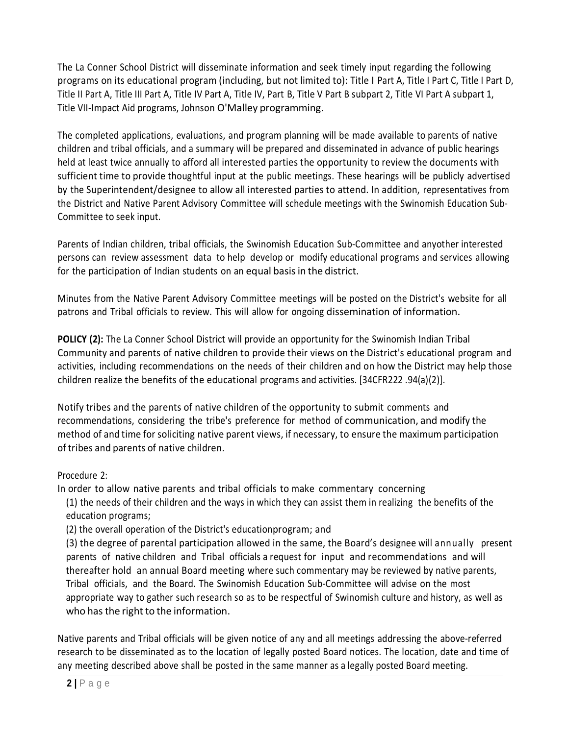The La Conner School District will disseminate information and seek timely input regarding the following programs on its educational program (including, but not limited to): Title I Part A, Title I Part C, Title I Part D, Title II Part A, Title III Part A, Title IV Part A, Title IV, Part B, Title V Part B subpart 2, Title VI Part A subpart 1, Title VII-Impact Aid programs, Johnson O'Malley programming.

The completed applications, evaluations, and program planning will be made available to parents of native children and tribal officials, and a summary will be prepared and disseminated in advance of public hearings held at least twice annually to afford all interested parties the opportunity to review the documents with sufficient time to provide thoughtful input at the public meetings. These hearings will be publicly advertised by the Superintendent/designee to allow all interested parties to attend. In addition, representatives from the District and Native Parent Advisory Committee will schedule meetings with the Swinomish Education Sub-Committee to seek input.

Parents of Indian children, tribal officials, the Swinomish Education Sub-Committee and anyother interested persons can review assessment data to help develop or modify educational programs and services allowing for the participation of Indian students on an equal basis in the district.

Minutes from the Native Parent Advisory Committee meetings will be posted on the District's website for all patrons and Tribal officials to review. This will allow for ongoing dissemination of information.

**POLICY (2):** The La Conner School District will provide an opportunity for the Swinomish Indian Tribal Community and parents of native children to provide their views on the District's educational program and activities, including recommendations on the needs of their children and on how the District may help those children realize the benefits of the educational programs and activities. [34CFR222 .94(a)(2)].

Notify tribes and the parents of native children of the opportunity to submit comments and recommendations, considering the tribe's preference for method of communication, and modify the method of and time for soliciting native parent views, if necessary, to ensure the maximum participation of tribes and parents of native children.

## Procedure 2:

In order to allow native parents and tribal officials to make commentary concerning

(1) the needs of their children and the ways in which they can assist them in realizing the benefits of the education programs;

(2) the overall operation of the District's educationprogram; and

(3) the degree of parental participation allowed in the same, the Board's designee will annually present parents of native children and Tribal officials a request for input and recommendations and will thereafter hold an annual Board meeting where such commentary may be reviewed by native parents, Tribal officials, and the Board. The Swinomish Education Sub-Committee will advise on the most appropriate way to gather such research so as to be respectful of Swinomish culture and history, as well as who has the right to the information.

Native parents and Tribal officials will be given notice of any and all meetings addressing the above-referred research to be disseminated as to the location of legally posted Board notices. The location, date and time of any meeting described above shall be posted in the same manner as a legally posted Board meeting.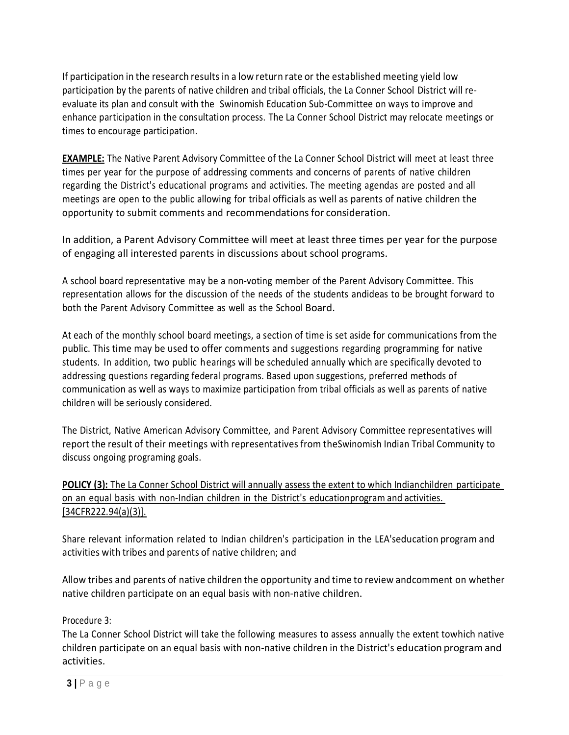If participation in the research results in a low return rate or the established meeting yield low participation by the parents of native children and tribal officials, the La Conner School District will reevaluate its plan and consult with the Swinomish Education Sub-Committee on ways to improve and enhance participation in the consultation process. The La Conner School District may relocate meetings or times to encourage participation.

**EXAMPLE:** The Native Parent Advisory Committee of the La Conner School District will meet at least three times per year for the purpose of addressing comments and concerns of parents of native children regarding the District's educational programs and activities. The meeting agendas are posted and all meetings are open to the public allowing for tribal officials as well as parents of native children the opportunity to submit comments and recommendationsfor consideration.

In addition, a Parent Advisory Committee will meet at least three times per year for the purpose of engaging all interested parents in discussions about school programs.

A school board representative may be a non-voting member of the Parent Advisory Committee. This representation allows for the discussion of the needs of the students andideas to be brought forward to both the Parent Advisory Committee as well as the School Board.

At each of the monthly school board meetings, a section of time is set aside for communications from the public. This time may be used to offer comments and suggestions regarding programming for native students. In addition, two public hearings will be scheduled annually which are specifically devoted to addressing questions regarding federal programs. Based upon suggestions, preferred methods of communication as well as ways to maximize participation from tribal officials as well as parents of native children will be seriously considered.

The District, Native American Advisory Committee, and Parent Advisory Committee representatives will report the result of their meetings with representatives from theSwinomish Indian Tribal Community to discuss ongoing programing goals.

**POLICY (3):** The La Conner School District will annually assess the extent to which Indianchildren participate on an equal basis with non-Indian children in the District's educationprogram and activities. [34CFR222.94(a)(3)].

Share relevant information related to Indian children's participation in the LEA'seducation program and activities with tribes and parents of native children; and

Allow tribes and parents of native children the opportunity and time to review andcomment on whether native children participate on an equal basis with non-native children.

Procedure 3:

The La Conner School District will take the following measures to assess annually the extent towhich native children participate on an equal basis with non-native children in the District's education program and activities.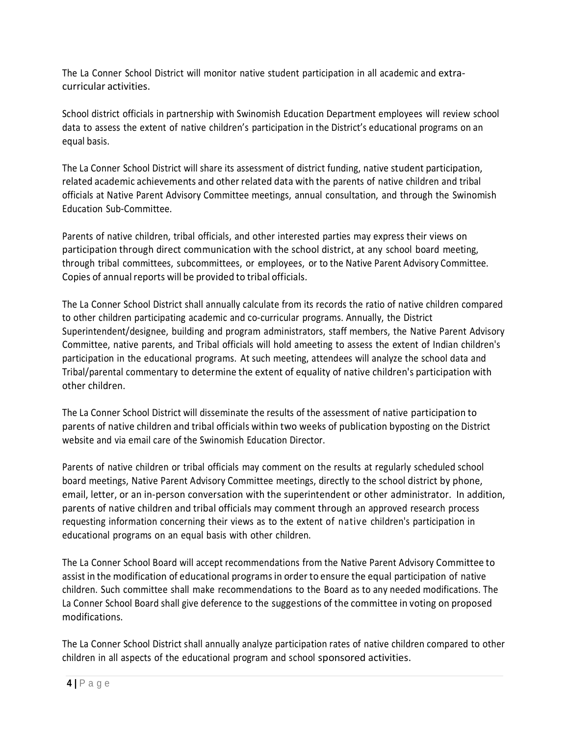The La Conner School District will monitor native student participation in all academic and extracurricular activities.

School district officials in partnership with Swinomish Education Department employees will review school data to assess the extent of native children's participation in the District's educational programs on an equal basis.

The La Conner School District will share its assessment of district funding, native student participation, related academic achievements and other related data with the parents of native children and tribal officials at Native Parent Advisory Committee meetings, annual consultation, and through the Swinomish Education Sub-Committee.

Parents of native children, tribal officials, and other interested parties may express their views on participation through direct communication with the school district, at any school board meeting, through tribal committees, subcommittees, or employees, or to the Native Parent Advisory Committee. Copies of annual reports will be provided to tribal officials.

The La Conner School District shall annually calculate from its records the ratio of native children compared to other children participating academic and co-curricular programs. Annually, the District Superintendent/designee, building and program administrators, staff members, the Native Parent Advisory Committee, native parents, and Tribal officials will hold ameeting to assess the extent of Indian children's participation in the educational programs. At such meeting, attendees will analyze the school data and Tribal/parental commentary to determine the extent of equality of native children's participation with other children.

The La Conner School District will disseminate the results of the assessment of native participation to parents of native children and tribal officials within two weeks of publication byposting on the District website and via email care of the Swinomish Education Director.

Parents of native children or tribal officials may comment on the results at regularly scheduled school board meetings, Native Parent Advisory Committee meetings, directly to the school district by phone, email, letter, or an in-person conversation with the superintendent or other administrator. In addition, parents of native children and tribal officials may comment through an approved research process requesting information concerning their views as to the extent of native children's participation in educational programs on an equal basis with other children.

The La Conner School Board will accept recommendations from the Native Parent Advisory Committee to assist in the modification of educational programs in order to ensure the equal participation of native children. Such committee shall make recommendations to the Board as to any needed modifications. The La Conner School Board shall give deference to the suggestions of the committee in voting on proposed modifications.

The La Conner School District shall annually analyze participation rates of native children compared to other children in all aspects of the educational program and school sponsored activities.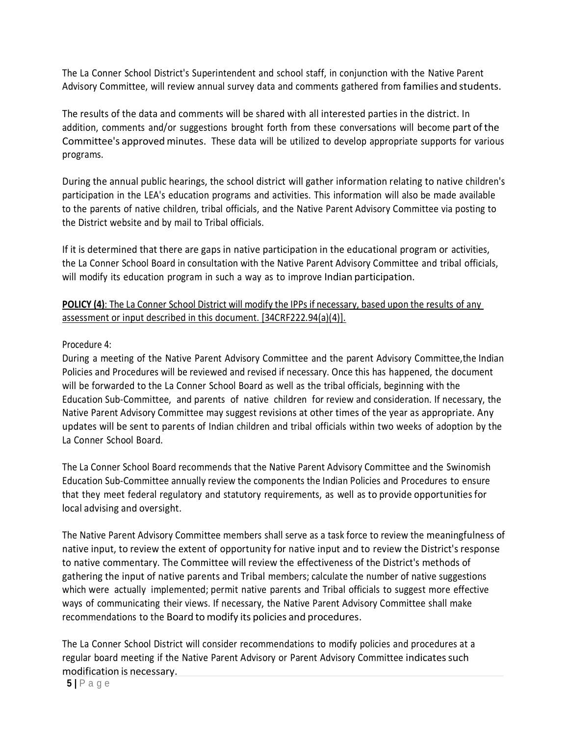The La Conner School District's Superintendent and school staff, in conjunction with the Native Parent Advisory Committee, will review annual survey data and comments gathered from families and students.

The results of the data and comments will be shared with all interested parties in the district. In addition, comments and/or suggestions brought forth from these conversations will become part of the Committee's approved minutes. These data will be utilized to develop appropriate supports for various programs.

During the annual public hearings, the school district will gather information relating to native children's participation in the LEA's education programs and activities. This information will also be made available to the parents of native children, tribal officials, and the Native Parent Advisory Committee via posting to the District website and by mail to Tribal officials.

If it is determined that there are gaps in native participation in the educational program or activities, the La Conner School Board in consultation with the Native Parent Advisory Committee and tribal officials, will modify its education program in such a way as to improve Indian participation.

# **POLICY (4)**: The La Conner School District will modify the IPPs if necessary, based upon the results of any assessment or input described in this document. [34CRF222.94(a)(4)].

### Procedure 4:

During a meeting of the Native Parent Advisory Committee and the parent Advisory Committee,the Indian Policies and Procedures will be reviewed and revised if necessary. Once this has happened, the document will be forwarded to the La Conner School Board as well as the tribal officials, beginning with the Education Sub-Committee, and parents of native children for review and consideration. If necessary, the Native Parent Advisory Committee may suggest revisions at other times of the year as appropriate. Any updates will be sent to parents of Indian children and tribal officials within two weeks of adoption by the La Conner School Board.

The La Conner School Board recommends that the Native Parent Advisory Committee and the Swinomish Education Sub-Committee annually review the components the Indian Policies and Procedures to ensure that they meet federal regulatory and statutory requirements, as well as to provide opportunitiesfor local advising and oversight.

The Native Parent Advisory Committee members shall serve as a task force to review the meaningfulness of native input, to review the extent of opportunity for native input and to review the District's response to native commentary. The Committee will review the effectiveness of the District's methods of gathering the input of native parents and Tribal members; calculate the number of native suggestions which were actually implemented; permit native parents and Tribal officials to suggest more effective ways of communicating their views. If necessary, the Native Parent Advisory Committee shall make recommendations to the Board to modify its policies and procedures.

The La Conner School District will consider recommendations to modify policies and procedures at a regular board meeting if the Native Parent Advisory or Parent Advisory Committee indicates such modification is necessary.